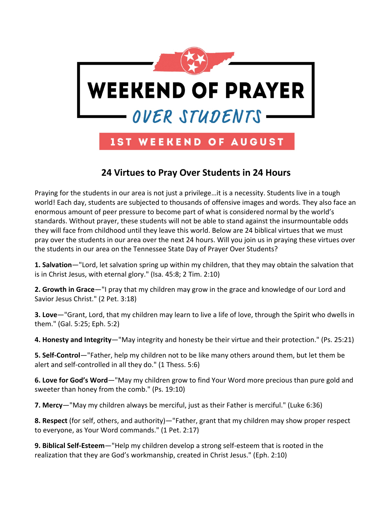

## **24 Virtues to Pray Over Students in 24 Hours**

Praying for the students in our area is not just a privilege…it is a necessity. Students live in a tough world! Each day, students are subjected to thousands of offensive images and words. They also face an enormous amount of peer pressure to become part of what is considered normal by the world's standards. Without prayer, these students will not be able to stand against the insurmountable odds they will face from childhood until they leave this world. Below are 24 biblical virtues that we must pray over the students in our area over the next 24 hours. Will you join us in praying these virtues over the students in our area on the Tennessee State Day of Prayer Over Students?

**1. Salvation**—"Lord, let salvation spring up within my children, that they may obtain the salvation that is in Christ Jesus, with eternal glory." (Isa. 45:8; 2 Tim. 2:10)

**2. Growth in Grace**—"I pray that my children may grow in the grace and knowledge of our Lord and Savior Jesus Christ." (2 Pet. 3:18)

**3. Love**—"Grant, Lord, that my children may learn to live a life of love, through the Spirit who dwells in them." (Gal. 5:25; Eph. 5:2)

**4. Honesty and Integrity**—"May integrity and honesty be their virtue and their protection." (Ps. 25:21)

**5. Self-Control**—"Father, help my children not to be like many others around them, but let them be alert and self-controlled in all they do." (1 Thess. 5:6)

**6. Love for God's Word**—"May my children grow to find Your Word more precious than pure gold and sweeter than honey from the comb." (Ps. 19:10)

**7. Mercy**—"May my children always be merciful, just as their Father is merciful." (Luke 6:36)

**8. Respect** (for self, others, and authority)—"Father, grant that my children may show proper respect to everyone, as Your Word commands." (1 Pet. 2:17)

**9. Biblical Self-Esteem**—"Help my children develop a strong self-esteem that is rooted in the realization that they are God's workmanship, created in Christ Jesus." (Eph. 2:10)